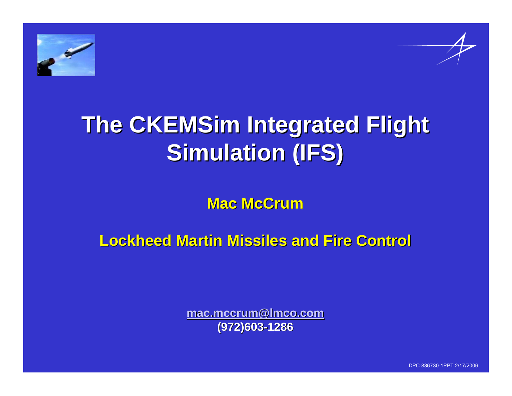

# **The CKEMSim Integrated Flight Simulation (IFS)**

**Mac McCrum Mac McCrum**

**Lockheed Martin Missiles and Fire Control Lockheed Martin Missiles and Fire Control**

**mac.mccrum@lmco.com (972)603 (972)603 -1286**

DPC-836730-1PPT 2/17/2006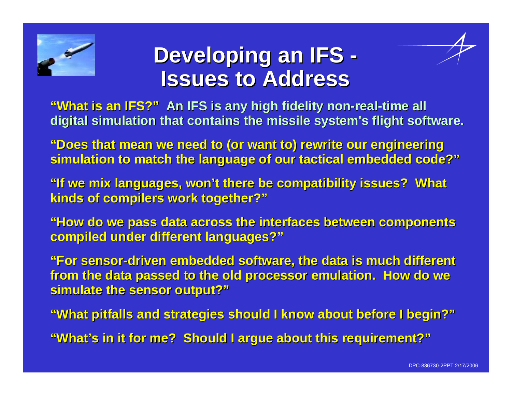

#### **Developing an IFS -Issues to Address Issues to Address**

"What is an IFS?" An IFS is any high fidelity non-real-time all **digital simulation that contains the missile system's flight software.** 

"Does that mean we need to (or want to) rewrite our engineering **simulation to match the language simulation to match the language of our tactical embedded code?" of our tactical embedded code?"**

**"If we mix languages, won't there be compatibility issues? What kinds of compilers work together?" kinds of compilers work together?"**

**"How do we pass data across the interfaces between components "How do we pass data across the interfaces between components compiled under different languages?" compiled under different languages?"**

**"For sensor "For sensor -driven embedded software, th driven embedded software, the data is much different e data is much different**  from the data passed to the old processor emulation. How do we **simulate the sensor output?" simulate the sensor output?"**

**"What pitfalls and strategies should I know about before I begin?"** 

**"What's in it for me? Should I argue about this requirement?"**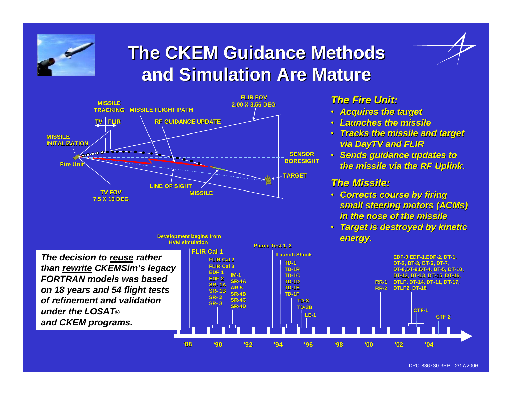

### **The CKEM Guidance Methods and Simulation Are Mature and Simulation Are Mature**



#### *The Fire Unit: The Fire Unit:*

- *Acquires the target Acquires the target*
- *Launches the missile Launches the missile*
- *Tracks the missile and target Tracks the missile and target via DayTV and FLIR*
- **Sends guidance updates to** *the missile via the RF Uplink. the missile via the RF Uplink.*

#### *The Missile: The Missile:*

- **Corrects course by firing small steering motors (ACMs)** *in the nose of the missile in the nose of the missile*
- *Target is destroyed by kinetic Target is destroyed by kinetic energy. energy.*



DPC-836730-3PPT 2/17/2006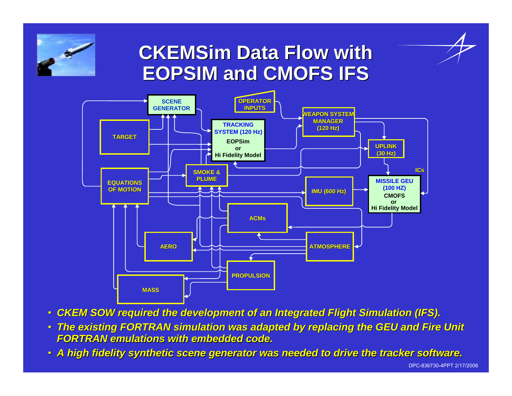

### **CKEMSim Data Flow with EOPSIM and CMOFS IFS EOPSIM and CMOFS IFS**



- *CKEM SOW required the development of an Integrated Flight Simulation (IFS).*
- *The existing FORTRAN simulation was adapted by replacing the GEU and Fire Unit FORTRAN emulations with embedded code. FORTRAN emulations with embedded code.*
- *A high fidelity synthetic scene gene A high fidelity synthetic scene generator was needed to drive th rator was needed to drive the tracker software. e tracker software.*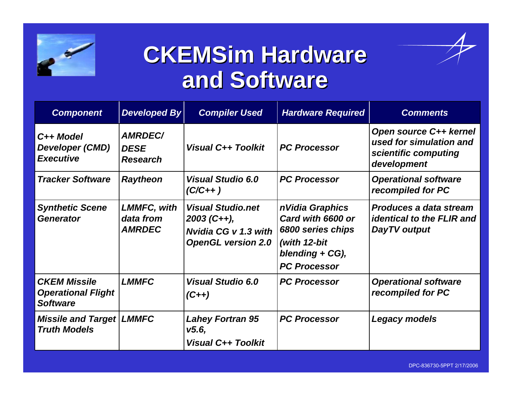

## **CKEMSim Hardware and Software and Software**

| <b>Component</b>                                                    | <b>Developed By</b>                              | <b>Compiler Used</b>                                                                                  | <b>Hardware Required</b>                                                                                             | <b>Comments</b>                                                                                 |
|---------------------------------------------------------------------|--------------------------------------------------|-------------------------------------------------------------------------------------------------------|----------------------------------------------------------------------------------------------------------------------|-------------------------------------------------------------------------------------------------|
| C <sub>++</sub> Model<br><b>Developer (CMD)</b><br><b>Executive</b> | <b>AMRDEC/</b><br><b>DESE</b><br><b>Research</b> | <b>Visual C++ Toolkit</b>                                                                             | <b>PC Processor</b>                                                                                                  | <b>Open source C++ kernel</b><br>used for simulation and<br>scientific computing<br>development |
| <b>Tracker Software</b>                                             | <b>Raytheon</b>                                  | <b>Visual Studio 6.0</b><br>$(C/C_{++})$                                                              | <b>PC Processor</b>                                                                                                  | <b>Operational software</b><br>recompiled for PC                                                |
| <b>Synthetic Scene</b><br><b>Generator</b>                          | <b>LMMFC, with</b><br>data from<br><b>AMRDEC</b> | <b>Visual Studio.net</b><br>$2003$ (C++),<br><b>Nvidia CG v 1.3 with</b><br><b>OpenGL version 2.0</b> | n Vidia Graphics<br>Card with 6600 or<br>6800 series chips<br>(with 12-bit<br>blending + CG),<br><b>PC Processor</b> | <b>Produces a data stream</b><br><b>identical to the FLIR and</b><br>DayTV output               |
| <b>CKEM Missile</b><br><b>Operational Flight</b><br><b>Software</b> | <b>LMMFC</b>                                     | <b>Visual Studio 6.0</b><br>$(C_{++})$                                                                | <b>PC Processor</b>                                                                                                  | <b>Operational software</b><br>recompiled for PC                                                |
| <b>Missile and Target</b><br><b>Truth Models</b>                    | <b>LMMFC</b>                                     | <b>Lahey Fortran 95</b><br>V5.6,<br><b>Visual C++ Toolkit</b>                                         | <b>PC Processor</b>                                                                                                  | Legacy models                                                                                   |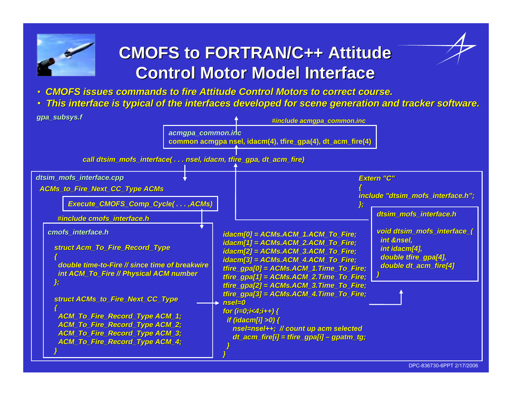

#### **CMOFS to FORTRAN/C++ Attitude Control Motor Model Interface Control Motor Model Interface**

- *CMOFS issues commands to fire Attitude Control Motors to correct ttitude Control Motors to correct course. course.*
- *This interface is typical of the interfaces developed for scen This interface is typical of the interfaces developed for scene generation and tracker software. e generation and tracker software.*

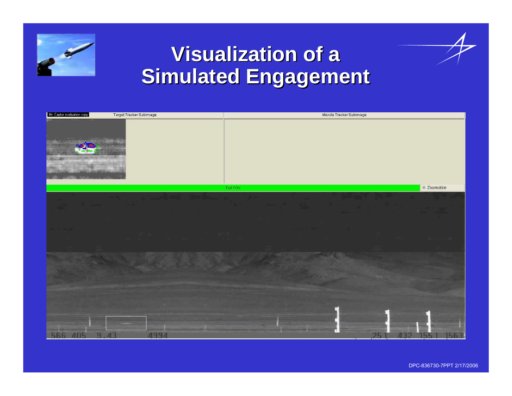

## **Visualization of a Simulated Engagement Simulated Engagement**



DPC-836730-7PPT 2/17/2006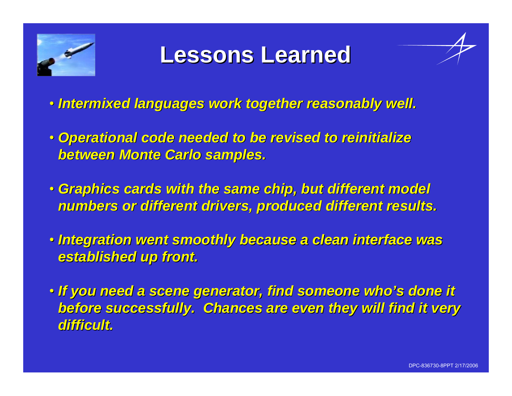

## **Lessons Learned Lessons Learned**

- *Intermixed languages work together reasonably well. Intermixed languages work together reasonably well.*
- Operational code needed to be revised to reinitialize *between Monte Carlo samples. between Monte Carlo samples.*
- *Graphics cards with the same chip, but different model Graphics cards with the same chip, but different model numbers or different drivers, produced different results. numbers or different drivers, produced different results.*
- Integration went smoothly because a clean interface was *established up front. established up front.*
- *If you need a scene generator, find someone who's done it If you need a scene generator, find someone who's done it*  **before successfully. Chances are even they will find it very** *difficult. difficult.*